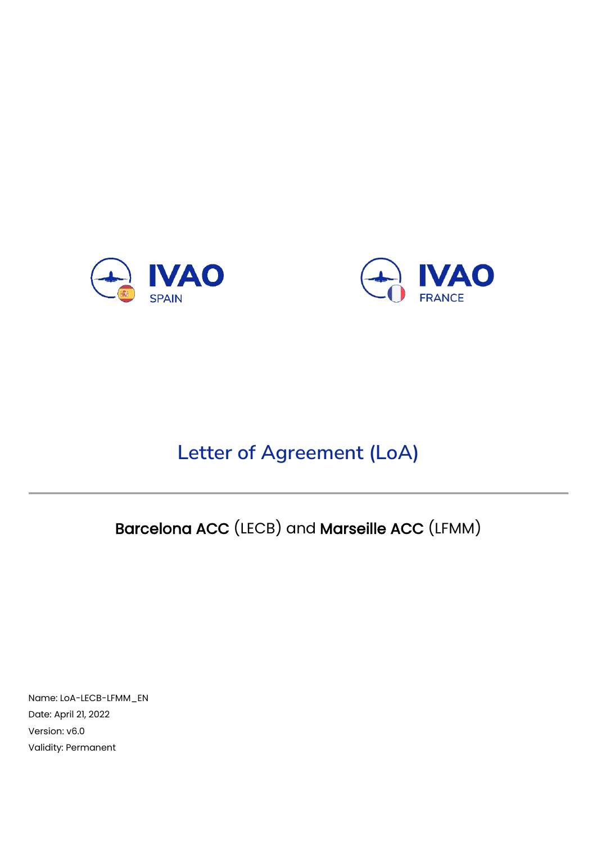



# **Letter of Agreement (LoA)**

# Barcelona ACC (LECB) and Marseille ACC (LFMM)

Name: LoA-LECB-LFMM\_EN Date: April 21, 2022 Version: v6.0 Validity: Permanent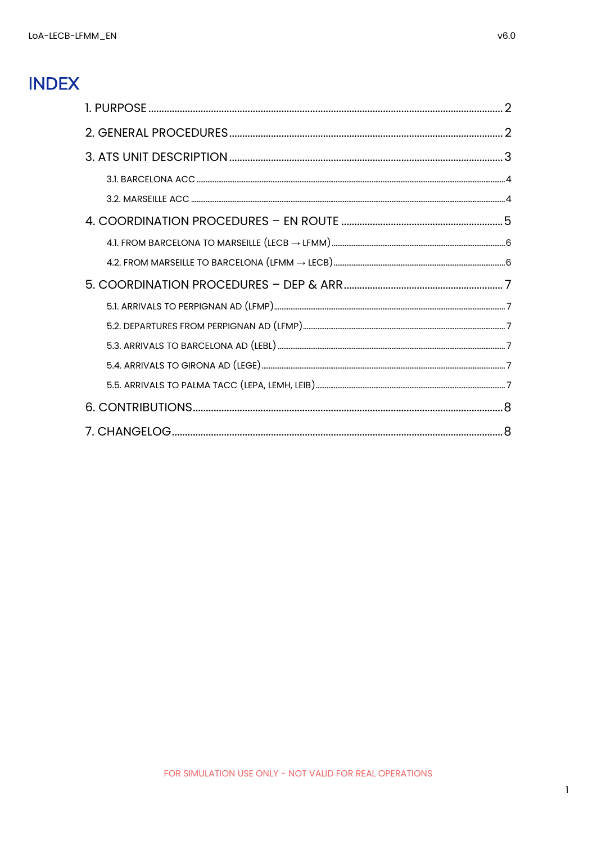## **INDEX**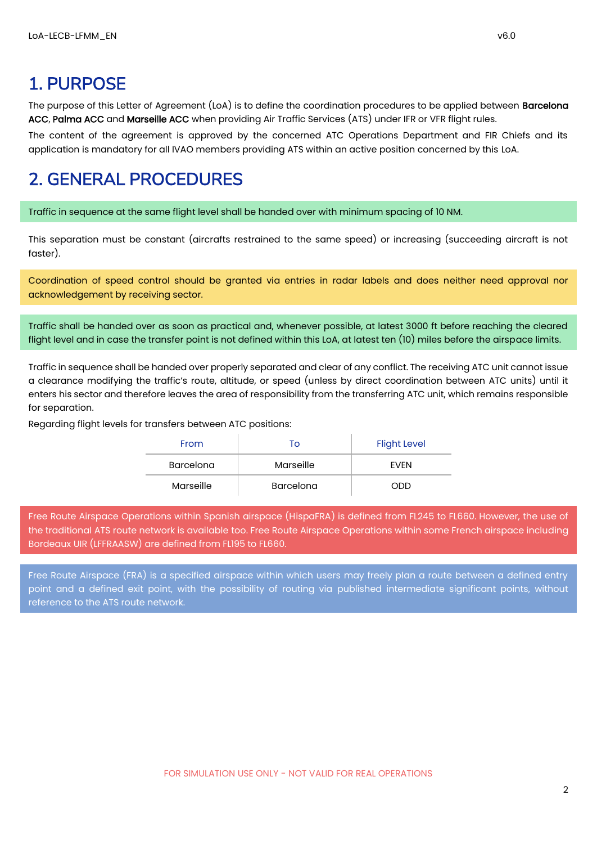### <span id="page-2-0"></span>1. PURPOSE

The purpose of this Letter of Agreement (LoA) is to define the coordination procedures to be applied between **Barcelona** ACC, Palma ACC and Marseille ACC when providing Air Traffic Services (ATS) under IFR or VFR flight rules.

The content of the agreement is approved by the concerned ATC Operations Department and FIR Chiefs and its application is mandatory for all IVAO members providing ATS within an active position concerned by this LoA.

#### <span id="page-2-1"></span>2. GENERAL PROCEDURES

Traffic in sequence at the same flight level shall be handed over with minimum spacing of 10 NM.

This separation must be constant (aircrafts restrained to the same speed) or increasing (succeeding aircraft is not faster).

Coordination of speed control should be granted via entries in radar labels and does neither need approval nor acknowledgement by receiving sector.

Traffic shall be handed over as soon as practical and, whenever possible, at latest 3000 ft before reaching the cleared flight level and in case the transfer point is not defined within this LoA, at latest ten (10) miles before the airspace limits.

Traffic in sequence shall be handed over properly separated and clear of any conflict. The receiving ATC unit cannot issue a clearance modifying the traffic's route, altitude, or speed (unless by direct coordination between ATC units) until it enters his sector and therefore leaves the area of responsibility from the transferring ATC unit, which remains responsible for separation.

Regarding flight levels for transfers between ATC positions:

| From      | To               | <b>Flight Level</b> |
|-----------|------------------|---------------------|
| Barcelona | Marseille        | <b>FVFN</b>         |
| Marseille | <b>Barcelona</b> | ODD                 |

Free Route Airspace Operations within Spanish airspace (HispaFRA) is defined from FL245 to FL660. However, the use of the traditional ATS route network is available too. Free Route Airspace Operations within some French airspace including Bordeaux UIR (LFFRAASW) are defined from FL195 to FL660.

Free Route Airspace (FRA) is a specified airspace within which users may freely plan a route between a defined entry point and a defined exit point, with the possibility of routing via published intermediate significant points, without reference to the ATS route network.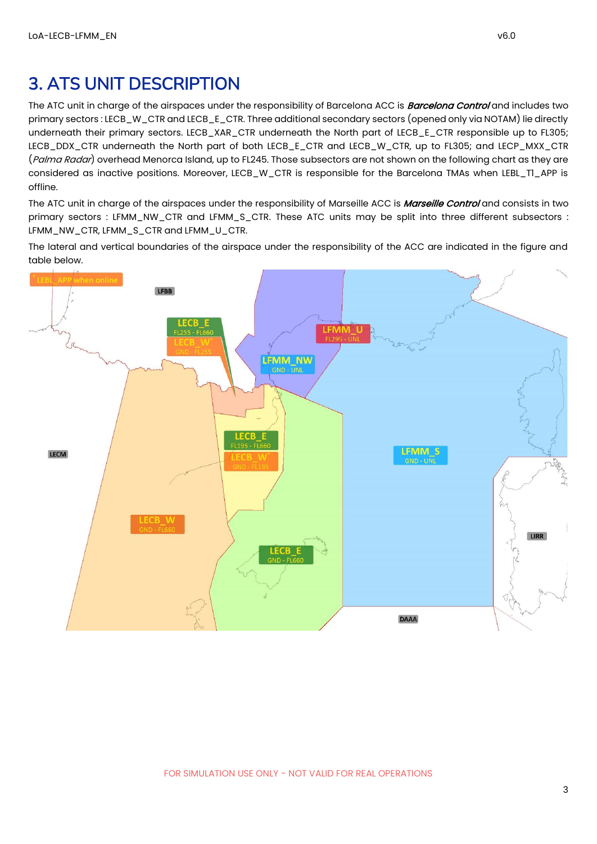#### <span id="page-3-0"></span>3. ATS UNIT DESCRIPTION

The ATC unit in charge of the airspaces under the responsibility of Barcelona ACC is **Barcelona Control** and includes two primary sectors : LECB\_W\_CTR and LECB\_E\_CTR. Three additional secondary sectors (opened only via NOTAM) lie directly underneath their primary sectors. LECB\_XAR\_CTR underneath the North part of LECB\_E\_CTR responsible up to FL305; LECB\_DDX\_CTR underneath the North part of both LECB\_E\_CTR and LECB\_W\_CTR, up to FL305; and LECP\_MXX\_CTR (Palma Radar) overhead Menorca Island, up to FL245. Those subsectors are not shown on the following chart as they are considered as inactive positions. Moreover, LECB\_W\_CTR is responsible for the Barcelona TMAs when LEBL\_T1\_APP is offline.

The ATC unit in charge of the airspaces under the responsibility of Marseille ACC is *Marseille Control* and consists in two primary sectors : LFMM\_NW\_CTR and LFMM\_S\_CTR. These ATC units may be split into three different subsectors : LFMM\_NW\_CTR, LFMM\_S\_CTR and LFMM\_U\_CTR.

The lateral and vertical boundaries of the airspace under the responsibility of the ACC are indicated in the figure and table below.

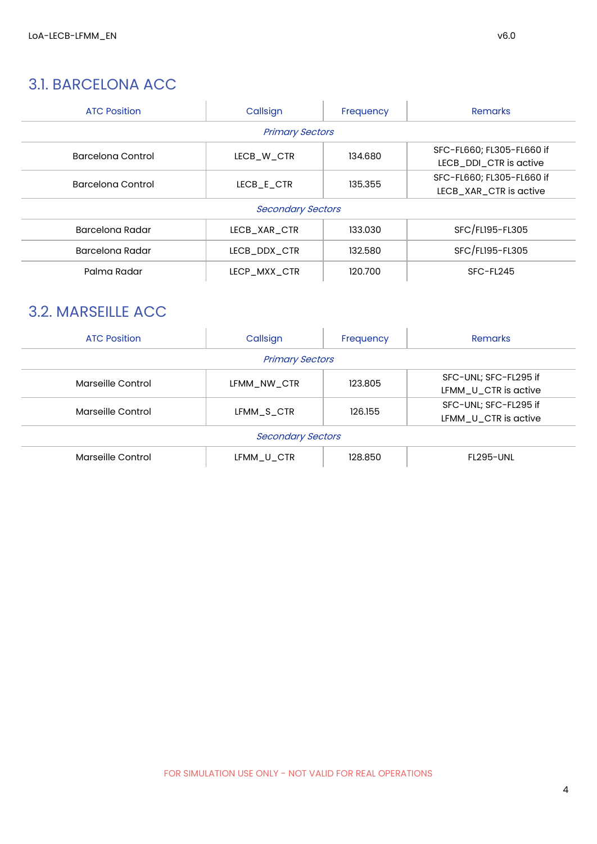#### <span id="page-4-0"></span>3.1. BARCELONA ACC

| <b>ATC Position</b> | Callsign                 | Frequency | <b>Remarks</b>                                      |  |  |
|---------------------|--------------------------|-----------|-----------------------------------------------------|--|--|
|                     | <b>Primary Sectors</b>   |           |                                                     |  |  |
| Barcelona Control   | LECB W CTR               | 134.680   | SFC-FL660; FL305-FL660 if<br>LECB_DDI_CTR is active |  |  |
| Barcelona Control   | LECB E CTR               | 135.355   | SFC-FL660; FL305-FL660 if<br>LECB_XAR_CTR is active |  |  |
|                     | <b>Secondary Sectors</b> |           |                                                     |  |  |
| Barcelona Radar     | LECB XAR CTR             | 133.030   | SFC/FL195-FL305                                     |  |  |
| Barcelona Radar     | LECB_DDX_CTR             | 132.580   | SFC/FL195-FL305                                     |  |  |
| Palma Radar         | LECP MXX CTR             | 120.700   | SFC-FL245                                           |  |  |

#### <span id="page-4-1"></span>3.2. MARSEILLE ACC

| <b>ATC Position</b>      | Callsign               | Frequency | Remarks                                       |  |
|--------------------------|------------------------|-----------|-----------------------------------------------|--|
|                          | <b>Primary Sectors</b> |           |                                               |  |
| Marseille Control        | LFMM NW CTR            | 123.805   | SFC-UNL; SFC-FL295 if<br>LFMM_U_CTR is active |  |
| Marseille Control        | LFMM S CTR             | 126.155   | SFC-UNL; SFC-FL295 if<br>LFMM_U_CTR is active |  |
| <b>Secondary Sectors</b> |                        |           |                                               |  |
| Marseille Control        | LFMM U CTR             | 128.850   | FL295-UNI                                     |  |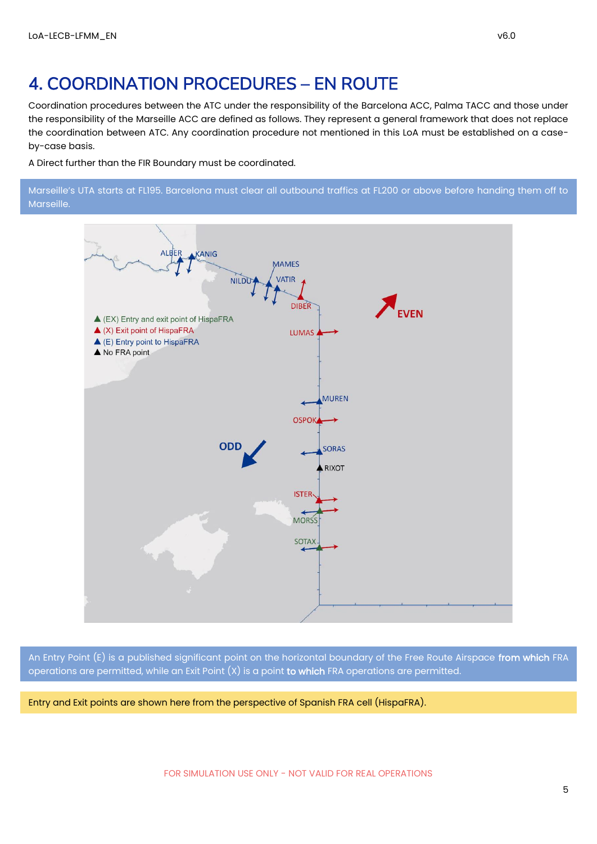#### <span id="page-5-0"></span>4. COORDINATION PROCEDURES – EN ROUTE

Coordination procedures between the ATC under the responsibility of the Barcelona ACC, Palma TACC and those under the responsibility of the Marseille ACC are defined as follows. They represent a general framework that does not replace the coordination between ATC. Any coordination procedure not mentioned in this LoA must be established on a caseby-case basis.

A Direct further than the FIR Boundary must be coordinated.

Marseille's UTA starts at FL195. Barcelona must clear all outbound traffics at FL200 or above before handing them off to Marseille.



An Entry Point (E) is a published significant point on the horizontal boundary of the Free Route Airspace from which FRA operations are permitted, while an Exit Point  $(X)$  is a point to which FRA operations are permitted.

Entry and Exit points are shown here from the perspective of Spanish FRA cell (HispaFRA).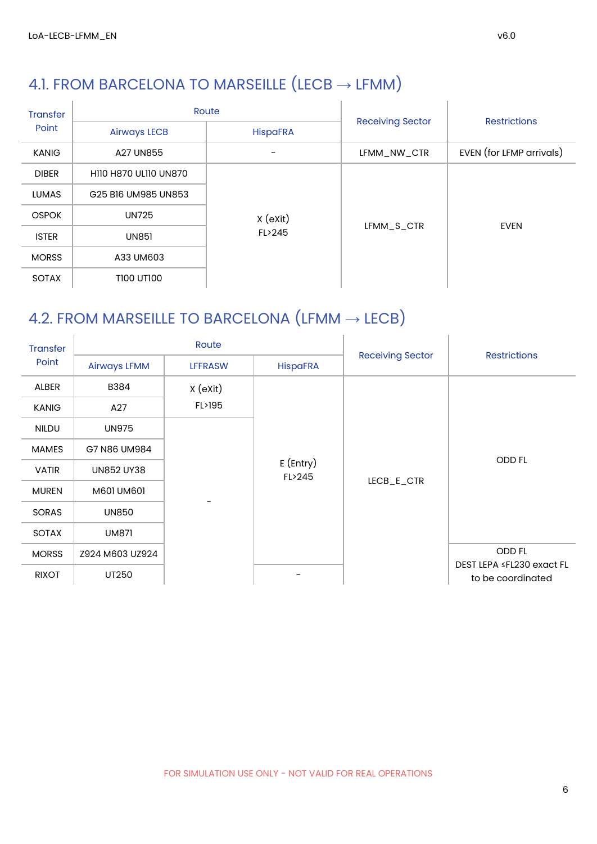# <span id="page-6-0"></span>4.1. FROM BARCELONA TO MARSEILLE  $(LECB \rightarrow LFMM)$

| <b>Transfer</b> |                              | Route           |                         | <b>Restrictions</b>      |  |
|-----------------|------------------------------|-----------------|-------------------------|--------------------------|--|
| Point           | <b>Airways LECB</b>          | <b>HispaFRA</b> | <b>Receiving Sector</b> |                          |  |
| <b>KANIG</b>    | A27 UN855                    |                 | LFMM_NW_CTR             | EVEN (for LFMP arrivals) |  |
| <b>DIBER</b>    | <b>HIIO H870 ULIIO UN870</b> |                 |                         |                          |  |
| <b>LUMAS</b>    | G25 B16 UM985 UN853          |                 |                         |                          |  |
| <b>OSPOK</b>    | <b>UN725</b>                 | $X$ (exit)      | LFMM_S_CTR              | <b>EVEN</b>              |  |
| <b>ISTER</b>    | <b>UN851</b>                 | FL>245          |                         |                          |  |
| <b>MORSS</b>    | A33 UM603                    |                 |                         |                          |  |
| <b>SOTAX</b>    | T100 UT100                   |                 |                         |                          |  |

#### <span id="page-6-1"></span>4.2. FROM MARSEILLE TO BARCELONA  $(LFMM \rightarrow LECB)$

| <b>Transfer</b> |                     | Route                 |                 |                         | <b>Restrictions</b>                            |
|-----------------|---------------------|-----------------------|-----------------|-------------------------|------------------------------------------------|
| Point           | <b>Airways LFMM</b> | <b>LFFRASW</b>        | <b>HispaFRA</b> | <b>Receiving Sector</b> |                                                |
| ALBER           | B384                | X (eXit)              |                 |                         |                                                |
| <b>KANIG</b>    | A27                 | FL>195                |                 |                         |                                                |
| <b>NILDU</b>    | <b>UN975</b>        |                       |                 |                         |                                                |
| <b>MAMES</b>    | G7 N86 UM984        |                       |                 |                         |                                                |
| <b>VATIR</b>    | <b>UN852 UY38</b>   | $E$ (Entry)<br>FL>245 |                 | ODD FL                  |                                                |
| <b>MUREN</b>    | M601 UM601          |                       |                 | LECB_E_CTR              |                                                |
| <b>SORAS</b>    | <b>UN850</b>        |                       |                 |                         |                                                |
| SOTAX           | <b>UM871</b>        |                       |                 |                         |                                                |
| <b>MORSS</b>    | Z924 M603 UZ924     |                       |                 |                         | <b>ODD FL</b>                                  |
| <b>RIXOT</b>    | UT250               |                       |                 |                         | DEST LEPA ≤FL230 exact FL<br>to be coordinated |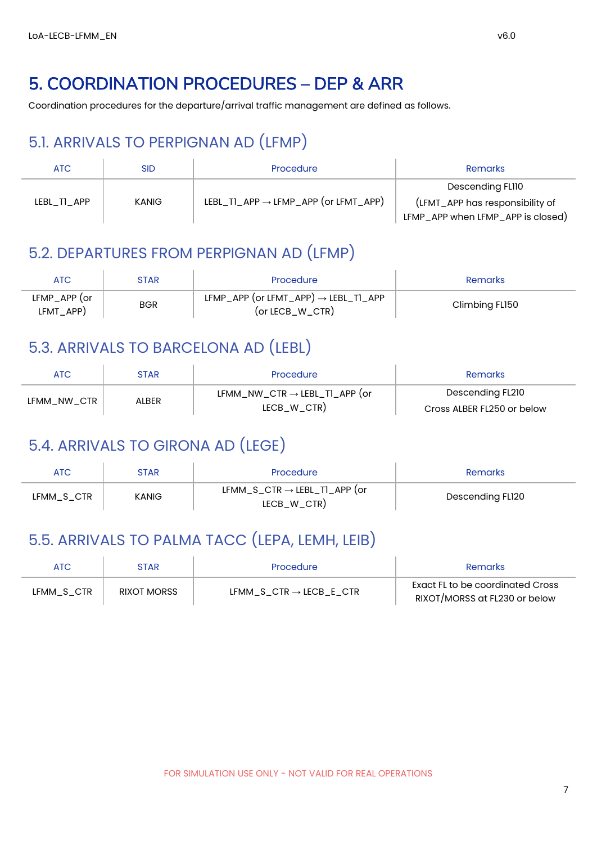### <span id="page-7-0"></span>5. COORDINATION PROCEDURES – DEP & ARR

<span id="page-7-1"></span>Coordination procedures for the departure/arrival traffic management are defined as follows.

#### 5.1. ARRIVALS TO PERPIGNAN AD (LFMP)

| ATC         | SID   | Procedure                                        | Remarks                                                                                  |
|-------------|-------|--------------------------------------------------|------------------------------------------------------------------------------------------|
| LEBL TI APP | KANIG | LEBL_TI_APP $\rightarrow$ LFMP_APP (or LFMT_APP) | Descending FL110<br>(LFMT_APP has responsibility of<br>LFMP_APP when LFMP_APP is closed) |

#### <span id="page-7-2"></span>5.2. DEPARTURES FROM PERPIGNAN AD (LFMP)

| ATC.                      | STAR       | Procedure                                                                 | <b>Remarks</b> |
|---------------------------|------------|---------------------------------------------------------------------------|----------------|
| LFMP_APP (or<br>LFMT_APP) | <b>BGR</b> | LFMP_APP (or LFMT_APP) $\rightarrow$ LEBL_TI_APP<br>$($ or LECB_W_CTR $)$ | Climbing FL150 |

#### <span id="page-7-3"></span>5.3. ARRIVALS TO BARCELONA AD (LEBL)

| ATC         | STAR  | Procedure                                                                      | Remarks                                        |
|-------------|-------|--------------------------------------------------------------------------------|------------------------------------------------|
| LFMM NW CTR | ALBER | $\mathsf{LFMM\_NW\_CTR} \rightarrow \mathsf{LEBL\_TI\_APP}$ (or<br>LECB_W_CTR) | Descending FL210<br>Cross ALBER FL250 or below |

### <span id="page-7-4"></span>5.4. ARRIVALS TO GIRONA AD (LEGE)

| ATC        | STAR  | Procedure                                               | <b>Remarks</b>   |
|------------|-------|---------------------------------------------------------|------------------|
| LFMM_S_CTR | KANIG | $LFMM_S_CTR \rightarrow LEBL_TI_APP$ (or<br>LECB_W_CTR) | Descending FL120 |

#### <span id="page-7-5"></span>5.5. ARRIVALS TO PALMA TACC (LEPA, LEMH, LEIB)

| ATC        | STAR               | Procedure                           | <b>Remarks</b>                                                    |
|------------|--------------------|-------------------------------------|-------------------------------------------------------------------|
| LFMM_S_CTR | <b>RIXOT MORSS</b> | LFMM S CTR $\rightarrow$ LECB E CTR | Exact FL to be coordinated Cross<br>RIXOT/MORSS at FL230 or below |